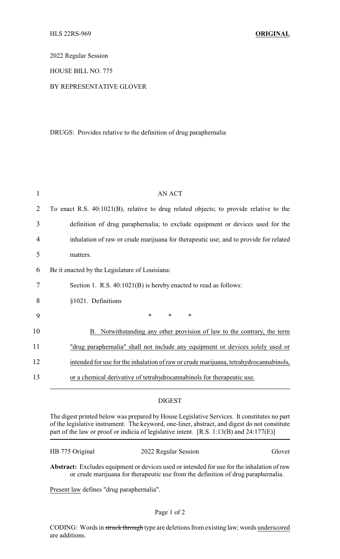2022 Regular Session

HOUSE BILL NO. 775

## BY REPRESENTATIVE GLOVER

DRUGS: Provides relative to the definition of drug paraphernalia

| $\overline{2}$<br>To enact R.S. 40:1021(B), relative to drug related objects; to provide relative to the<br>3<br>definition of drug paraphernalia; to exclude equipment or devices used for the<br>inhalation of raw or crude marijuana for therapeutic use; and to provide for related<br>4<br>5<br>matters. |  |
|---------------------------------------------------------------------------------------------------------------------------------------------------------------------------------------------------------------------------------------------------------------------------------------------------------------|--|
|                                                                                                                                                                                                                                                                                                               |  |
|                                                                                                                                                                                                                                                                                                               |  |
|                                                                                                                                                                                                                                                                                                               |  |
|                                                                                                                                                                                                                                                                                                               |  |
| 6<br>Be it enacted by the Legislature of Louisiana:                                                                                                                                                                                                                                                           |  |
| 7<br>Section 1. R.S. 40:1021(B) is hereby enacted to read as follows:                                                                                                                                                                                                                                         |  |
| 8<br>§1021. Definitions                                                                                                                                                                                                                                                                                       |  |
| 9<br>*<br>$\ast$<br>∗                                                                                                                                                                                                                                                                                         |  |
| 10<br>B. Notwithstanding any other provision of law to the contrary, the term                                                                                                                                                                                                                                 |  |
| 11<br>"drug paraphernalia" shall not include any equipment or devices solely used or                                                                                                                                                                                                                          |  |
| 12<br>intended for use for the inhalation of raw or crude marijuana, tetrahydrocannabinols,                                                                                                                                                                                                                   |  |
| 13<br>or a chemical derivative of tetrahydrocannabinols for therapeutic use.                                                                                                                                                                                                                                  |  |

## DIGEST

The digest printed below was prepared by House Legislative Services. It constitutes no part of the legislative instrument. The keyword, one-liner, abstract, and digest do not constitute part of the law or proof or indicia of legislative intent. [R.S. 1:13(B) and 24:177(E)]

| HB 775 Original | 2022 Regular Session | Glover |
|-----------------|----------------------|--------|
|                 |                      |        |

**Abstract:** Excludes equipment or devices used or intended for use for the inhalation of raw or crude marijuana for therapeutic use from the definition of drug paraphernalia.

Present law defines "drug paraphernalia".

CODING: Words in struck through type are deletions from existing law; words underscored are additions.